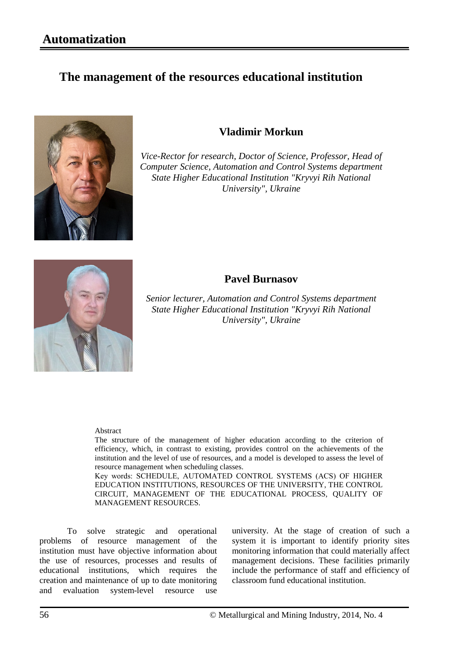# **The management of the resources educational institution**



# **Vladimir Morkun**

*Vice-Rector for research, Doctor of Science, Professor, Head of Computer Science, Automation and Control Systems department State Higher Educational Institution "Kryvyi Rih National University", Ukraine*



## **Pavel Burnasov**

*Senior lecturer, Automation and Control Systems department State Higher Educational Institution "Kryvyi Rih National University", Ukraine*

#### Abstract

The structure of the management of higher education according to the criterion of efficiency, which, in contrast to existing, provides control on the achievements of the institution and the level of use of resources, and a model is developed to assess the level of resource management when scheduling classes.

Key words: SCHEDULE, АUTOMATED CONTROL SYSTEMS (ACS) OF HIGHER EDUCATION INSTITUTIONS, RESOURCES OF THE UNIVERSITY, THE CONTROL CIRCUIT, MANAGEMENT OF THE EDUCATIONAL PROCESS, QUALITY OF MANAGEMENT RESOURCES.

To solve strategic and operational problems of resource management of the institution must have objective information about the use of resources, processes and results of educational institutions, which requires the creation and maintenance of up to date monitoring and evaluation system-level resource use university. At the stage of creation of such a system it is important to identify priority sites monitoring information that could materially affect management decisions. These facilities primarily include the performance of staff and efficiency of classroom fund educational institution.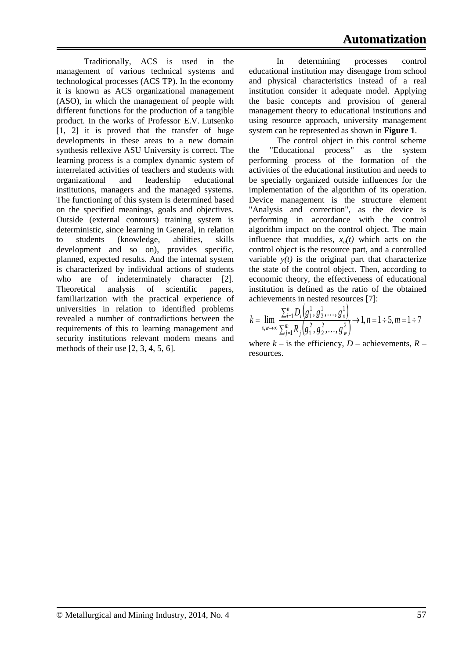Traditionally, ACS is used in the management of various technical systems and technological processes (ACS TP). In the economy it is known as ACS organizational management (ASO), in which the management of people with different functions for the production of a tangible product. In the works of Professor E.V. Lutsenko [1, 2] it is proved that the transfer of huge developments in these areas to a new domain synthesis reflexive ASU University is correct. The learning process is a complex dynamic system of interrelated activities of teachers and students with organizational and leadership educational institutions, managers and the managed systems. The functioning of this system is determined based on the specified meanings, goals and objectives. Outside (external contours) training system is deterministic, since learning in General, in relation to students (knowledge, abilities, skills development and so on), provides specific, planned, expected results. And the internal system is characterized by individual actions of students who are of indeterminately character [2]. Theoretical analysis of scientific papers, familiarization with the practical experience of universities in relation to identified problems revealed a number of contradictions between the requirements of this to learning management and security institutions relevant modern means and methods of their use [2, 3, 4, 5, 6].

In determining processes control educational institution may disengage from school and physical characteristics instead of a real institution consider it adequate model. Applying the basic concepts and provision of general management theory to educational institutions and using resource approach, university management system can be represented as shown in **Figure 1**.

The control object in this control scheme the "Educational process" as the system performing process of the formation of the activities of the educational institution and needs to be specially organized outside influences for the implementation of the algorithm of its operation. Device management is the structure element "Analysis and correction", as the device is performing in accordance with the control algorithm impact on the control object. The main influence that muddies,  $x<sub>o</sub>(t)$  which acts on the control object is the resource part, and a controlled variable  $y(t)$  is the original part that characterize the state of the control object. Then, according to economic theory, the effectiveness of educational institution is defined as the ratio of the obtained achievements in nested resources [7]:

$$
k = \lim_{s,w \to \infty} \frac{\sum_{i=1}^{n} D_i(g_1^1, g_2^1, \dots, g_s^1)}{\sum_{j=1}^{m} R_j(g_1^2, g_2^2, \dots, g_w^2)} \to 1, n = 1 \div 5, m = 1 \div 7
$$

where  $k -$  is the efficiency,  $D$  – achievements,  $R$  – resources.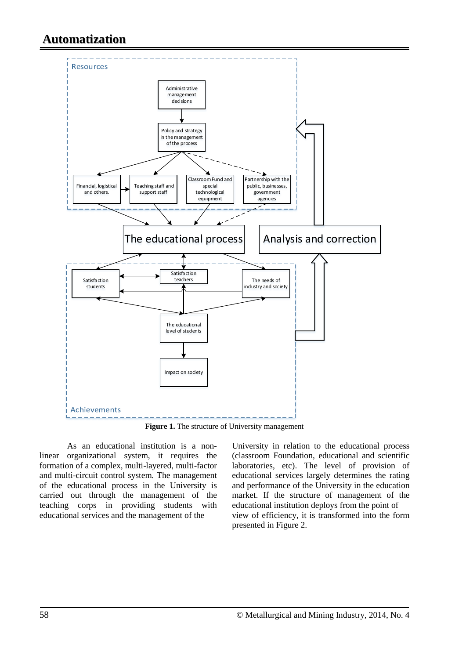

**Figure 1.** The structure of University management

As an educational institution is a nonlinear organizational system, it requires the formation of a complex, multi-layered, multi-factor and multi-circuit control system. The management of the educational process in the University is carried out through the management of the teaching corps in providing students with educational services and the management of the

University in relation to the educational process (classroom Foundation, educational and scientific laboratories, etc). The level of provision of educational services largely determines the rating and performance of the University in the education market. If the structure of management of the educational institution deploys from the point of view of efficiency, it is transformed into the form presented in Figure 2.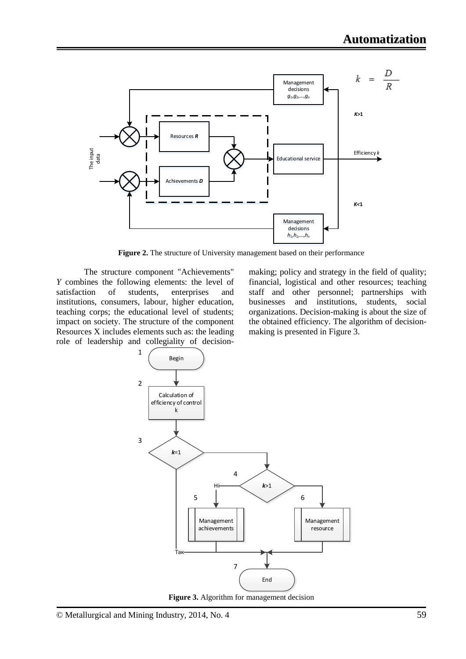

**Figure 2.** The structure of University management based on their performance

The structure component "Achievements" *Y* combines the following elements: the level of satisfaction of students, enterprises and institutions, consumers, labour, higher education, teaching corps; the educational level of students; impact on society. The structure of the component Resources X includes elements such as: the leading role of leadership and collegiality of decisionmaking; policy and strategy in the field of quality; financial, logistical and other resources; teaching staff and other personnel; partnerships with businesses and institutions, students, social organizations. Decision-making is about the size of the obtained efficiency. The algorithm of decisionmaking is presented in Figure 3.



**Figure 3.** Algorithm for management decision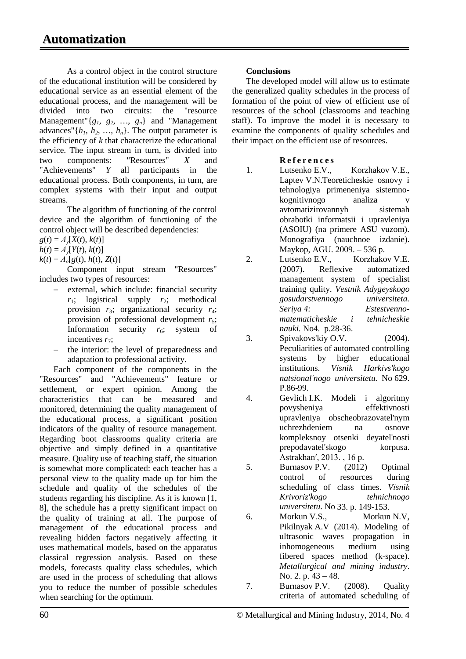As a control object in the control structure of the educational institution will be considered by educational service as an essential element of the educational process, and the management will be divided into two circuits: the "resource Management"{*g1, g2, …, gn*} and "Management advances" $\{h_1, h_2, ..., h_n\}$ . The output parameter is the efficiency of *k* that characterize the educational service. The input stream in turn, is divided into two components: "Resources" *X* and "Achievements" *Y* all participants in the educational process. Both components, in turn, are complex systems with their input and output streams.

The algorithm of functioning of the control device and the algorithm of functioning of the control object will be described dependencies:

 $g(t) = A_y[X(t), k(t)]$ 

 $h(t) = A_v[Y(t), k(t)]$ 

 $k(t) = A_0[g(t), h(t), Z(t)]$ 

Component input stream "Resources" includes two types of resources:

- external, which include: financial security  $r_1$ ; logistical supply  $r_2$ ; methodical provision  $r_3$ ; organizational security  $r_4$ ; provision of professional development  $r_5$ ; Information security  $r_6$ ; system of incentives  $r_7$ :
- the interior: the level of preparedness and adaptation to professional activity.

Each component of the components in the "Resources" and "Achievements" feature or settlement, or expert opinion. Among the characteristics that can be measured and monitored, determining the quality management of the educational process, a significant position indicators of the quality of resource management. Regarding boot classrooms quality criteria are objective and simply defined in a quantitative measure. Quality use of teaching staff, the situation is somewhat more complicated: each teacher has a personal view to the quality made up for him the schedule and quality of the schedules of the students regarding his discipline. As it is known [1, 8], the schedule has a pretty significant impact on the quality of training at all. The purpose of management of the educational process and revealing hidden factors negatively affecting it uses mathematical models, based on the apparatus classical regression analysis. Based on these models, forecasts quality class schedules, which are used in the process of scheduling that allows you to reduce the number of possible schedules when searching for the optimum.

### **Conclusions**

The developed model will allow us to estimate the generalized quality schedules in the process of formation of the point of view of efficient use of resources of the school (classrooms and teaching staff). To improve the model it is necessary to examine the components of quality schedules and their impact on the efficient use of resources.

### **Referenc e s**

- 1. Lutsenko E.V., Korzhakov V.E., Laptev V.N.Teoreticheskie osnovy i tehnologiya primeneniya sistemnokognitivnogo analiza v avtomatizirovannyh sistemah obrabotki informatsii i upravleniya (ASOIU) (na primere ASU vuzom). Monografiya (nauchnoe izdanie). Maykop, AGU. 2009. – 536 p.
- 2. Lutsenko E.V., Korzhakov V.E. (2007). Reflexive automatized management system of specialist training qulity. *Vestnik Adygeyskogo gosudarstvennogo universiteta. Seriya 4: Estestvennomatematicheskie i tehnicheskie nauki.* No4. p.28-36.
- 3. Spіvakovs'kiy O.V. (2004). Peculiarities of automated controlling systems by higher educational institutions. *Vіsnik Harkіvs'kogo natsіonal'nogo unіversitetu.* No 629. P.86-99.
- 4. Gevlich I.K. Modeli i algoritmy povysheniya effektivnosti upravleniya obscheobrazovatel'nym uchrezhdeniem na osnove kompleksnoy otsenki deyatel'nosti prepodavatel'skogo korpusa. Astrakhan', 2013., 16 p.

5. Burnasov P.V. (2012) Optimal control of resources during scheduling of class times. *Vіsnik Krivorіz'kogo tehnіchnogo unіversitetu*. No 33. p. 149-153.

6. Morkun V.S., Morkun N.V, Pikilnyak A.V (2014). Modeling of ultrasonic waves propagation in inhomogeneous medium using fibered spaces method (k-space). *Metallurgical and mining industry*. No. 2. p. 43 – 48.

7. Burnasov P.V. (2008). Quality criteria of automated scheduling of